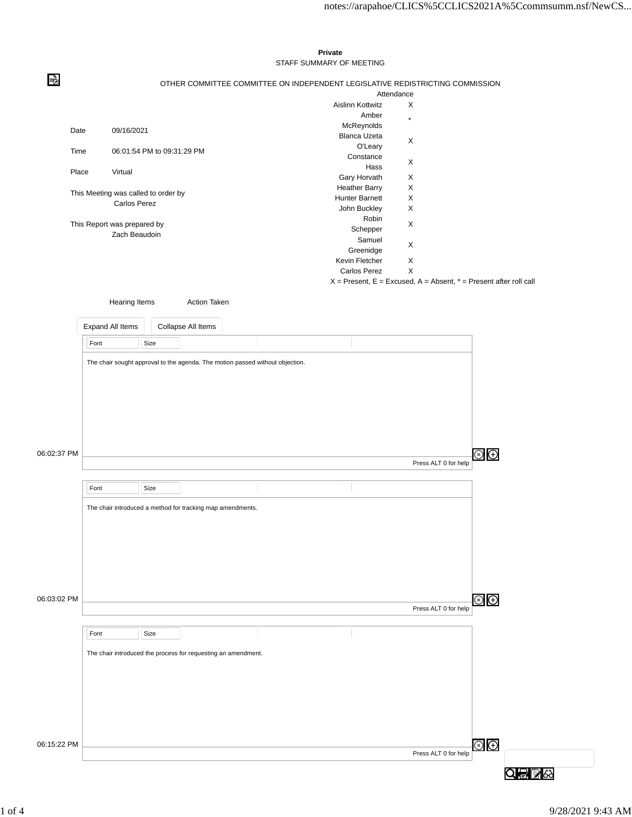## STAFF SUMMARY OF MEETING В OTHER COMMITTEE COMMITTEE ON INDEPENDENT LEGISLATIVE REDISTRICTING COMMISSION Attendance Aislinn Kottwitz X Amber McReynolds \* Date 09/16/2021 Blanca Uzeta O'Leary <sup>X</sup> Time 06:01:54 PM to 09:31:29 PM Constance Hass X Place Virtual Gary Horvath X Heather Barry X This Meeting was called to order by Hunter Barnett X Carlos Perez John Buckley X Robin This Report was prepared by Schepper X Zach Beaudoin Samuel Samuer X<br>Greenidge X Kevin Fletcher X Carlos Perez X  $X =$  Present,  $E =$  Excused,  $A =$  Absent,  $* =$  Present after roll call Hearing Items **Action Taken** Expand All Items Collapse All Items Font Size The chair sought approval to the agenda. The motion passed without objection.  $\circledcirc$   $\oplus$ 06:02:37 PM Press ALT 0 for help Font Size The chair introduced a method for tracking map amendments. 06:03:02 PM  $\circledast$ Press ALT 0 for help Font Size The chair introduced the process for requesting an amendment.

**Private**

06:15:22 PM

Press ALT 0 for help

 $\circledcirc$   $\circledcirc$ 

Q骨髪☆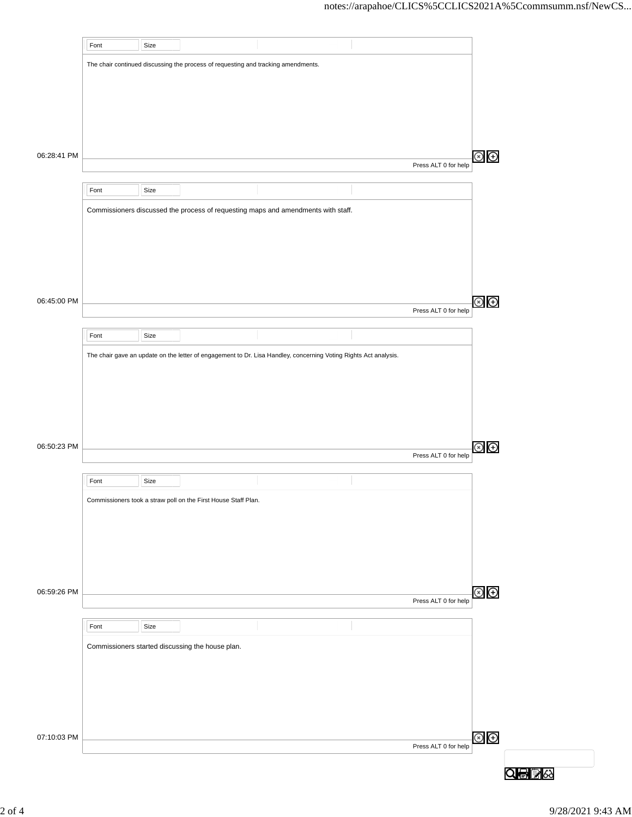|             | Font | Size |                                                                                   |                                                                                                                  |                      |                         |
|-------------|------|------|-----------------------------------------------------------------------------------|------------------------------------------------------------------------------------------------------------------|----------------------|-------------------------|
|             |      |      | The chair continued discussing the process of requesting and tracking amendments. |                                                                                                                  |                      |                         |
|             |      |      |                                                                                   |                                                                                                                  |                      |                         |
|             |      |      |                                                                                   |                                                                                                                  |                      |                         |
|             |      |      |                                                                                   |                                                                                                                  |                      |                         |
|             |      |      |                                                                                   |                                                                                                                  |                      |                         |
|             |      |      |                                                                                   |                                                                                                                  |                      |                         |
| 06:28:41 PM |      |      |                                                                                   |                                                                                                                  | Press ALT 0 for help | $\circledcirc$ $\oplus$ |
|             |      |      |                                                                                   |                                                                                                                  |                      |                         |
|             | Font | Size |                                                                                   |                                                                                                                  |                      |                         |
|             |      |      |                                                                                   | Commissioners discussed the process of requesting maps and amendments with staff.                                |                      |                         |
|             |      |      |                                                                                   |                                                                                                                  |                      |                         |
|             |      |      |                                                                                   |                                                                                                                  |                      |                         |
|             |      |      |                                                                                   |                                                                                                                  |                      |                         |
|             |      |      |                                                                                   |                                                                                                                  |                      |                         |
|             |      |      |                                                                                   |                                                                                                                  |                      |                         |
| 06:45:00 PM |      |      |                                                                                   |                                                                                                                  | Press ALT 0 for help | $\circledcirc$ $\oplus$ |
|             |      |      |                                                                                   |                                                                                                                  |                      |                         |
|             | Font | Size |                                                                                   |                                                                                                                  |                      |                         |
|             |      |      |                                                                                   | The chair gave an update on the letter of engagement to Dr. Lisa Handley, concerning Voting Rights Act analysis. |                      |                         |
|             |      |      |                                                                                   |                                                                                                                  |                      |                         |
|             |      |      |                                                                                   |                                                                                                                  |                      |                         |
|             |      |      |                                                                                   |                                                                                                                  |                      |                         |
|             |      |      |                                                                                   |                                                                                                                  |                      |                         |
|             |      |      |                                                                                   |                                                                                                                  |                      |                         |
| 06:50:23 PM |      |      |                                                                                   |                                                                                                                  | Press ALT 0 for help | Θ<br>(x)                |
|             |      |      |                                                                                   |                                                                                                                  |                      |                         |
|             | Font | Size |                                                                                   |                                                                                                                  |                      |                         |
|             |      |      | Commissioners took a straw poll on the First House Staff Plan.                    |                                                                                                                  |                      |                         |
|             |      |      |                                                                                   |                                                                                                                  |                      |                         |
|             |      |      |                                                                                   |                                                                                                                  |                      |                         |
|             |      |      |                                                                                   |                                                                                                                  |                      |                         |
|             |      |      |                                                                                   |                                                                                                                  |                      |                         |
| 06:59:26 PM |      |      |                                                                                   |                                                                                                                  |                      | $\circledast$           |
|             |      |      |                                                                                   |                                                                                                                  | Press ALT 0 for help |                         |
|             |      |      |                                                                                   |                                                                                                                  |                      |                         |
|             | Font | Size |                                                                                   |                                                                                                                  |                      |                         |
|             |      |      | Commissioners started discussing the house plan.                                  |                                                                                                                  |                      |                         |
|             |      |      |                                                                                   |                                                                                                                  |                      |                         |
|             |      |      |                                                                                   |                                                                                                                  |                      |                         |
|             |      |      |                                                                                   |                                                                                                                  |                      |                         |
|             |      |      |                                                                                   |                                                                                                                  |                      |                         |
| 07:10:03 PM |      |      |                                                                                   |                                                                                                                  |                      | $\circledcirc$          |
|             |      |      |                                                                                   |                                                                                                                  | Press ALT 0 for help |                         |
|             |      |      |                                                                                   |                                                                                                                  |                      |                         |
|             |      |      |                                                                                   |                                                                                                                  |                      | Q骨髪☆                    |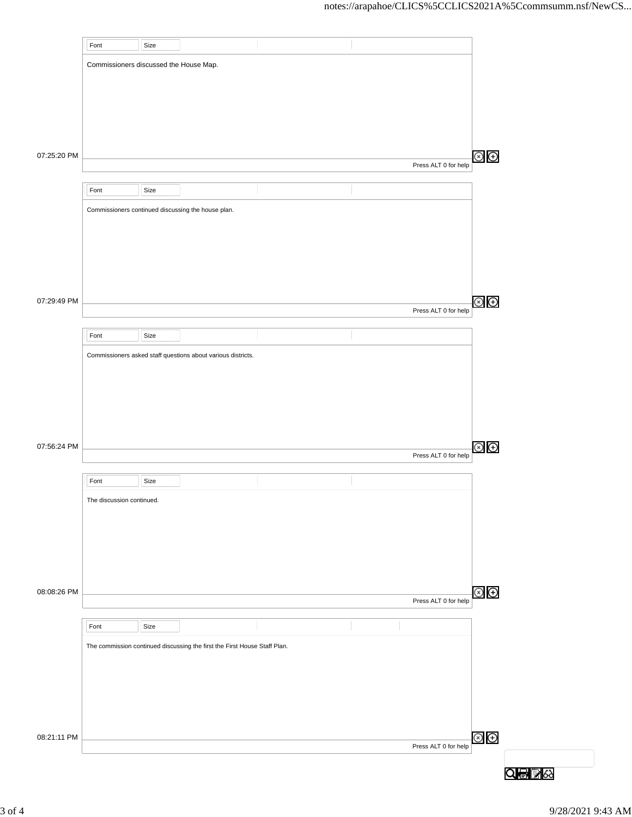|             | Font                                   | Size |                                                                           |  |                      |                        |
|-------------|----------------------------------------|------|---------------------------------------------------------------------------|--|----------------------|------------------------|
|             | Commissioners discussed the House Map. |      |                                                                           |  |                      |                        |
|             |                                        |      |                                                                           |  |                      |                        |
|             |                                        |      |                                                                           |  |                      |                        |
|             |                                        |      |                                                                           |  |                      |                        |
|             |                                        |      |                                                                           |  |                      |                        |
| 07:25:20 PM |                                        |      |                                                                           |  | Press ALT 0 for help | $\circledast$          |
|             |                                        |      |                                                                           |  |                      |                        |
|             | Font                                   | Size |                                                                           |  |                      |                        |
|             |                                        |      | Commissioners continued discussing the house plan.                        |  |                      |                        |
|             |                                        |      |                                                                           |  |                      |                        |
|             |                                        |      |                                                                           |  |                      |                        |
|             |                                        |      |                                                                           |  |                      |                        |
|             |                                        |      |                                                                           |  |                      |                        |
| 07:29:49 PM |                                        |      |                                                                           |  | Press ALT 0 for help | $\circledcirc$         |
|             | Font                                   | Size |                                                                           |  |                      |                        |
|             |                                        |      | Commissioners asked staff questions about various districts.              |  |                      |                        |
|             |                                        |      |                                                                           |  |                      |                        |
|             |                                        |      |                                                                           |  |                      |                        |
|             |                                        |      |                                                                           |  |                      |                        |
|             |                                        |      |                                                                           |  |                      |                        |
| 07:56:24 PM |                                        |      |                                                                           |  |                      | $\circledcirc$ $\odot$ |
|             |                                        |      |                                                                           |  | Press ALT 0 for help |                        |
|             | Font                                   | Size |                                                                           |  |                      |                        |
|             | The discussion continued.              |      |                                                                           |  |                      |                        |
|             |                                        |      |                                                                           |  |                      |                        |
|             |                                        |      |                                                                           |  |                      |                        |
|             |                                        |      |                                                                           |  |                      |                        |
|             |                                        |      |                                                                           |  |                      |                        |
| 08:08:26 PM |                                        |      |                                                                           |  | Press ALT 0 for help | $\circledcirc$         |
|             |                                        |      |                                                                           |  |                      |                        |
|             | Font                                   | Size |                                                                           |  |                      |                        |
|             |                                        |      | The commission continued discussing the first the First House Staff Plan. |  |                      |                        |
|             |                                        |      |                                                                           |  |                      |                        |
|             |                                        |      |                                                                           |  |                      |                        |
|             |                                        |      |                                                                           |  |                      |                        |
|             |                                        |      |                                                                           |  |                      |                        |
| 08:21:11 PM |                                        |      |                                                                           |  | Press ALT 0 for help | $\circledcirc$         |
|             |                                        |      |                                                                           |  |                      |                        |
|             |                                        |      |                                                                           |  |                      | Q骨髪☆                   |